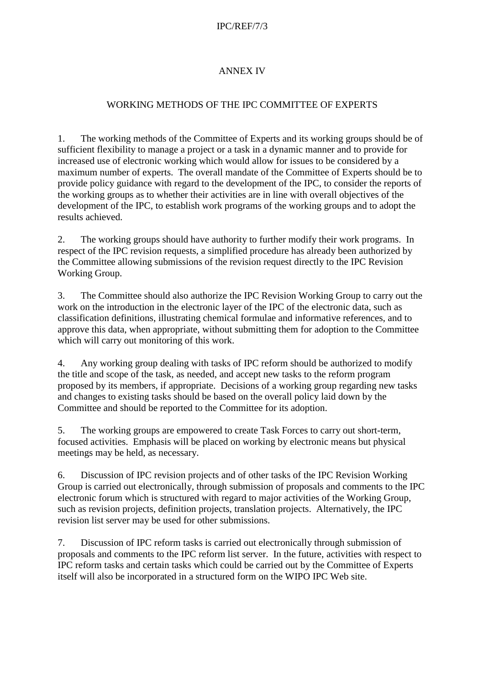## IPC/REF/7/3

## ANNEX IV

## WORKING METHODS OF THE IPC COMMITTEE OF EXPERTS

1. The working methods of the Committee of Experts and its working groups should be of sufficient flexibility to manage a project or a task in a dynamic manner and to provide for increased use of electronic working which would allow for issues to be considered by a maximum number of experts. The overall mandate of the Committee of Experts should be to provide policy guidance with regard to the development of the IPC, to consider the reports of the working groups as to whether their activities are in line with overall objectives of the development of the IPC, to establish work programs of the working groups and to adopt the results achieved.

2. The working groups should have authority to further modify their work programs. In respect of the IPC revision requests, a simplified procedure has already been authorized by the Committee allowing submissions of the revision request directly to the IPC Revision Working Group.

3. The Committee should also authorize the IPC Revision Working Group to carry out the work on the introduction in the electronic layer of the IPC of the electronic data, such as classification definitions, illustrating chemical formulae and informative references, and to approve this data, when appropriate, without submitting them for adoption to the Committee which will carry out monitoring of this work.

4. Any working group dealing with tasks of IPC reform should be authorized to modify the title and scope of the task, as needed, and accept new tasks to the reform program proposed by its members, if appropriate. Decisions of a working group regarding new tasks and changes to existing tasks should be based on the overall policy laid down by the Committee and should be reported to the Committee for its adoption.

5. The working groups are empowered to create Task Forces to carry out short-term, focused activities. Emphasis will be placed on working by electronic means but physical meetings may be held, as necessary.

6. Discussion of IPC revision projects and of other tasks of the IPC Revision Working Group is carried out electronically, through submission of proposals and comments to the IPC electronic forum which is structured with regard to major activities of the Working Group, such as revision projects, definition projects, translation projects. Alternatively, the IPC revision list server may be used for other submissions.

7. Discussion of IPC reform tasks is carried out electronically through submission of proposals and comments to the IPC reform list server. In the future, activities with respect to IPC reform tasks and certain tasks which could be carried out by the Committee of Experts itself will also be incorporated in a structured form on the WIPO IPC Web site.